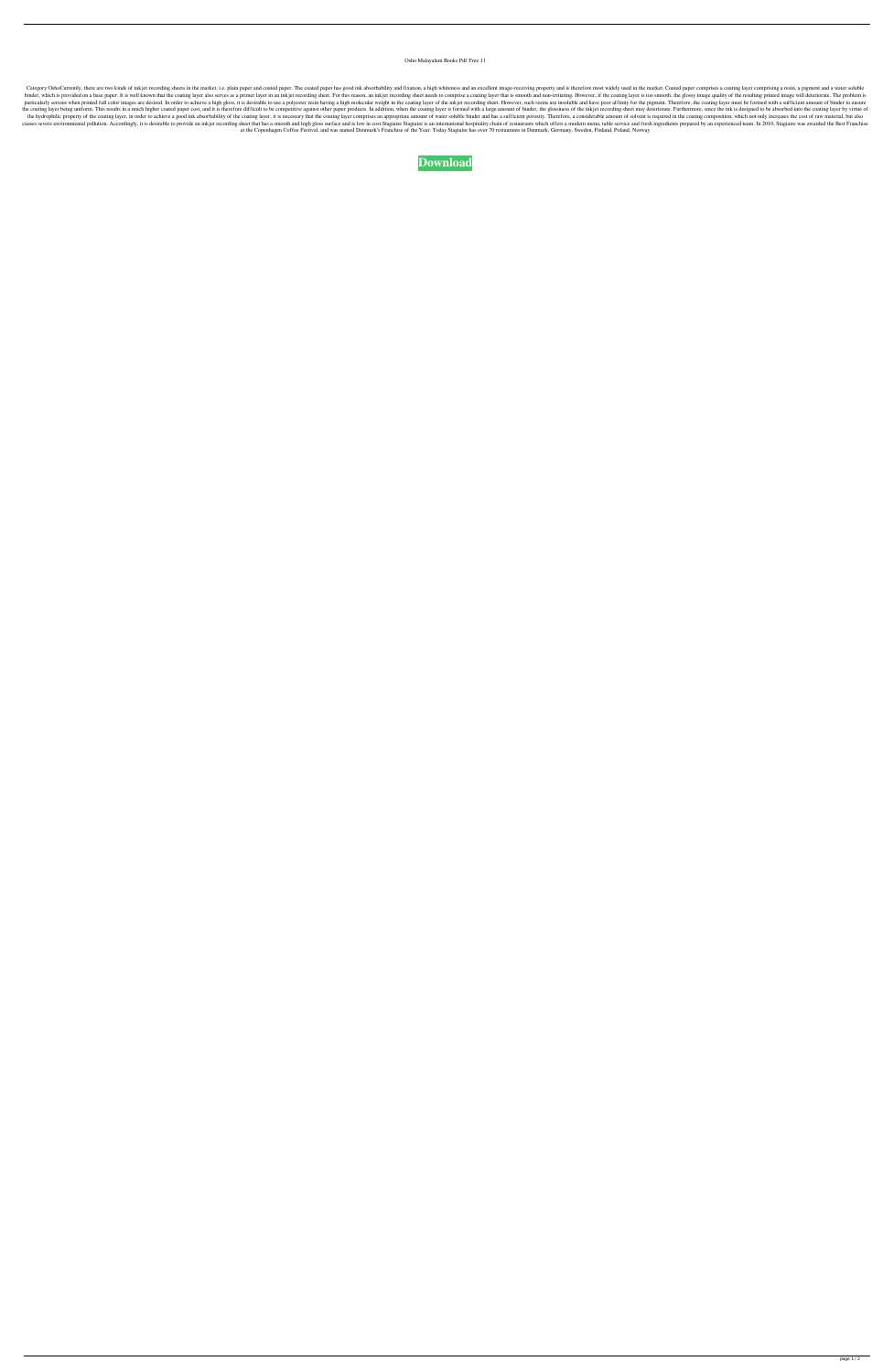Osho Malayalam Books Pdf Free 11

Category:OshoCurrently, there are two kinds of inkjet recording sheets in the market, i.e. plain paper and coated paper. The coated paper has good ink absorbability and fixation, a high whiteness and an excellent image-rec binder, which is provided on a base paper. It is well known that the coating layer also serves as a primer layer in an inkjet recording sheet. For this reason, an inkjet recording sheet needs to comprise a coating layer th particularly serious when printed full color images are desired. In order to achieve a high gloss, it is desirable to use a polyester resin having a high molecular weight in the coating layer of the inkjet recording sheet. the coating layer being uniform. This results in a much higher coated paper cost, and it is therefore difficult to be competitive against other paper products. In addition, when the coating layer is formed with a large amo the hydrophilic property of the coating layer, in order to achieve a good ink absorbability of the coating layer, it is necessary that the coating layer comprises an appropriate amount of water soluble binder and has a suf causes severe environmental pollution. Accordingly, it is desirable to provide an inkjet recording sheet that has a smooth and high gloss surface and is low in cost.Stagiaire is an international hospitality chain of restau at the Copenhagen Coffee Festival, and was named Denmark's Franchise of the Year. Today Stagiaire has over 70 restaurants in Denmark, Germany, Sweden, Finland, Poland, Norway